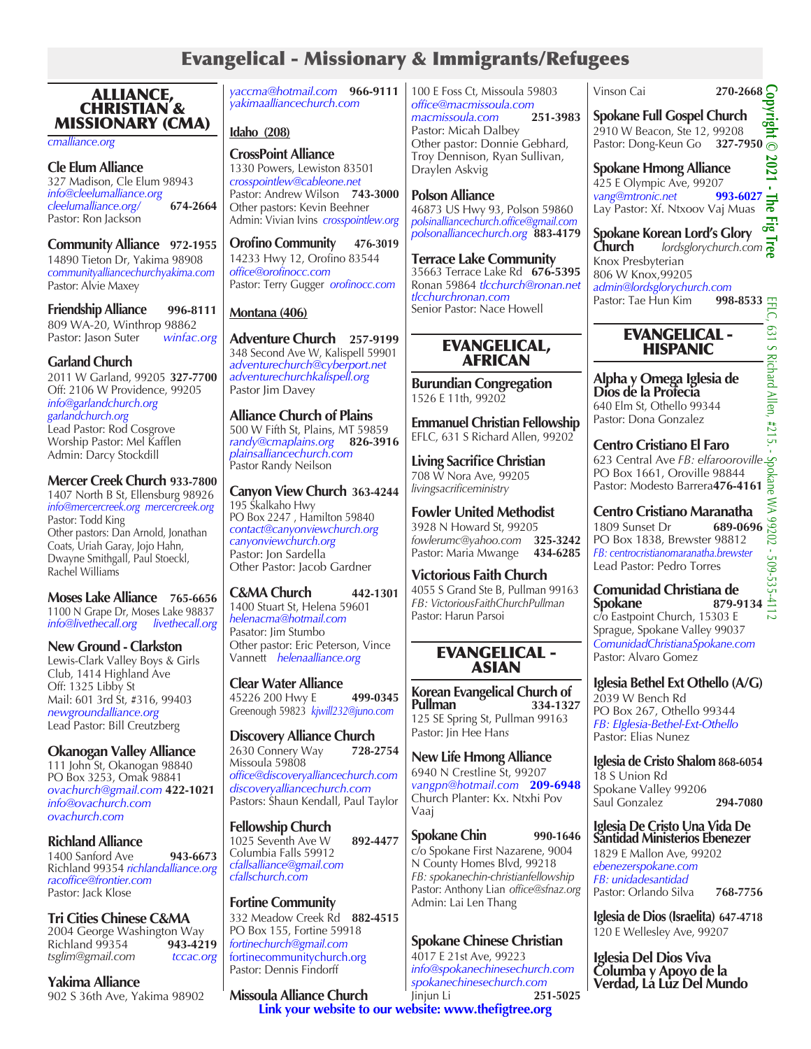# Evangelical - Missionary & Immigrants/Refugees

ALLIANCE, CHRISTIAN & MISSIONARY (CMA)

*cmalliance.org*

#### **Cle Elum Alliance** 327 Madison, Cle Elum 98943 *info@cleelumalliance.org cleelumalliance.org/* **674-2664** Pastor: Ron Jackson

**Community Alliance 972-1955** 14890 Tieton Dr, Yakima 98908 *communityalliancechurchyakima.com* Pastor: Alvie Maxey

**Friendship Alliance 996-8111** 809 WA-20, Winthrop 98862 Pastor: Jason Suter *winfac.org*

### **Garland Church**

2011 W Garland, 99205 **327-7700** Off: 2106 W Providence, 99205 *info@garlandchurch.org garlandchurch.org* Lead Pastor: Rod Cosgrove Worship Pastor: Mel Kafflen Admin: Darcy Stockdill

### **Mercer Creek Church 933-7800**

1407 North B St, Ellensburg 98926 *info@mercercreek.org mercercreek.org* Pastor: Todd King Other pastors: Dan Arnold, Jonathan Coats, Uriah Garay, Jojo Hahn, Dwayne Smithgall, Paul Stoeckl, Rachel Williams

**Moses Lake Alliance 765-6656** 1100 N Grape Dr, Moses Lake 98837 *info@livethecall.org livethecall.org*

### **New Ground - Clarkston**

Lewis-Clark Valley Boys & Girls Club, 1414 Highland Ave Off: 1325 Libby St Mail: 601 3rd St, #316, 99403 *newgroundalliance.org* Lead Pastor: Bill Creutzberg

### **Okanogan Valley Alliance**

111 John St, Okanogan 98840 PO Box 3253, Omak 98841 *ovachurch@gmail.com* **422-1021** *info@ovachurch.com ovachurch.com*

### **Richland Alliance**

1400 Sanford Ave **943-6673** Richland 99354 *richlandalliance.org racoffice@frontier.com* Pastor: Jack Klose

# **Tri Cities Chinese C&MA**

2004 George Washington Way<br>Richland 99354 **943-4219 Richland 99354** *tsglim@gmail.com tccac.org*

**Yakima Alliance**

902 S 36th Ave, Yakima 98902

*yaccma@hotmail.com* **966-9111** *yakimaalliancechurch.com*

**Idaho (208)**

**CrossPoint Alliance** 1330 Powers, Lewiston 83501 *crosspointlew@cableone.net* Pastor: Andrew Wilson **743-3000** Other pastors: Kevin Beehner Admin: Vivian Ivins *crosspointlew.org*

**Orofino Community 476-3019** 14233 Hwy 12, Orofino 83544 *office@orofinocc.com* Pastor: Terry Gugger *orofinocc.com*

### **Montana (406)**

**Adventure Church 257-9199** 348 Second Ave W, Kalispell 59901 *adventurechurch@cyberport.net adventurechurchkalispell.org* Pastor Jim Davey

### **Alliance Church of Plains** 500 W Fifth St, Plains, MT 59859

*randy@cmaplains.org* **826-3916** *plainsalliancechurch.com* Pastor Randy Neilson

#### **Canyon View Church 363-4244** 195 Skalkaho Hwy PO Box 2247 , Hamilton 59840 *contact@canyonviewchurch.org canyonviewchurch.org* Pastor: Jon Sardella Other Pastor: Jacob Gardner

### **C&MA Church 442-1301**

1400 Stuart St, Helena 59601 *helenacma@hotmail.com* Pasator: Jim Stumbo Other pastor: Eric Peterson, Vince Vannett *helenaalliance.org*

**Clear Water Alliance** 45226 200 Hwy E **499-0345** Greenough 59823 *kjwill232@juno.com*

**Discovery Alliance Church**<br>2630 Connery Way 728-2754 2630 Connery Way Missoula 59808 *office@discoveryalliancechurch.com discoveryalliancechurch.com* Pastors: Shaun Kendall, Paul Taylor

**Fellowship Church** 1025 Seventh Ave W **892-4477** Columbia Falls 59912 *cfallsalliance@gmail.com cfallschurch.com*

**Fortine Community** 332 Meadow Creek Rd **882-4515** PO Box 155, Fortine 59918 *fortinechurch@gmail.com* fortinecommunitychurch.org Pastor: Dennis Findorff

**Missoula Alliance Church**

100 E Foss Ct, Missoula 59803 *office@macmissoula.com macmissoula.com* **251-3983** Pastor: Micah Dalbey Other pastor: Donnie Gebhard, Troy Dennison, Ryan Sullivan, Draylen Askvig

#### **Polson Alliance** 46873 US Hwy 93, Polson 59860 *polsinalliancechurch.office@gmail.com polsonalliancechurch.org* **883-4179**

**Terrace Lake Community**  35663 Terrace Lake Rd **676-5395** Ronan 59864 *tlcchurch@ronan.net tlcchurchronan.com* Senior Pastor: Nace Howell

### EVANGELICAL, AFRICAN

**Burundian Congregation** 1526 E 11th, 99202

**Emmanuel Christian Fellowship** EFLC, 631 S Richard Allen, 99202

**Living Sacrifice Christian** 708 W Nora Ave, 99205 *livingsacrificeministry* 

**Fowler United Methodist** 3928 N Howard St, 99205 *fowlerumc@yahoo.com* **325-3242** Pastor: Maria Mwange **434-6285**

**Victorious Faith Church** 4055 S Grand Ste B, Pullman 99163 *FB: VictoriousFaithChurchPullman* Pastor: Harun Parsoi

### EVANGELICAL - ASIAN

**Korean Evangelical Church of Pullman 334-1327** 125 SE Spring St, Pullman 99163 Pastor: Jin Hee Han*s*

**New Life Hmong Alliance**  6940 N Crestline St, 99207 *vangpn@hotmail.com* **209-6948** Church Planter: Kx. Ntxhi Pov Vaaj

### **Spokane Chin 990-1646** c/o Spokane First Nazarene, 9004 N County Homes Blvd, 99218 *FB: spokanechin-christianfellowship* Pastor: Anthony Lian *office@sfnaz.org* Admin: Lai Len Thang

### **Spokane Chinese Christian**

4017 E 21st Ave, 99223 *info@spokanechinesechurch.com spokanechinesechurch.com* Jinjun Li **251-5025 Link your website to our website: www.thefigtree.org**

# Vinson Cai **270-2668**

⋚ **Spokane Full Gospel Church** inte 2910 W Beacon, Ste 12, 99208 Pastor: Dong-Keun Go **327-7950**

2021 **Spokane Hmong Alliance** 425 E Olympic Ave, 99207<br>vang@mtronic.net 993-6027 *vang@mtronic.net* **993-6027**<br>Lav Pastor: Xf. Ntxoov Vai Muas Lay Pastor: Xf. Ntxoov Vaj Muas

**Copyright © 2021 - The Fig Tree**  $\overline{q}$ **Spokane Korean Lord's Glory<br>Church** *lordsglorychurch.co* **Church** *lordsglorychurch.com* Knox Presbyterian 806 W Knox,99205 *admin@lordsglorychurch.com* Pastor: Tae Hun Kim **998-8533**

### EVANGELICAL - HISPANIC

**Alpha y Omega Iglesia de Dios de la Profecia** 640 Elm St, Othello 99344 Pastor: Dona Gonzalez

**Centro Cristiano El Faro** 623 Central Ave *FB: elfarooroville* PO Box 1661, Oroville 98844 Pastor: Modesto Barrera**476-4161**

**Centro Cristiano Maranatha**<br>1809 Sunset Dr<br>PO Box 1838, Brewster 98812 1809 Sunset Dr PO Box 1838, Brewster 98812 *FB: centrocristianomaranatha.brewster* Lead Pastor: Pedro Torres

#### **Comunidad Christiana de**   $879-9134 \stackrel{\perp}{=}$ c/o Eastpoint Church, 15303 E Sprague, Spokane Valley 99037 *ComunidadChristianaSpokane.com*

Pastor: Alvaro Gomez

**Iglesia Bethel Ext Othello (A/G)** 2039 W Bench Rd PO Box 267, Othello 99344 *FB: EIglesia-Bethel-Ext-Othello* Pastor: Elias Nunez

**Iglesia de Cristo Shalom 868-6054** 18 S Union Rd Spokane Valley 99206 Saul Gonzalez **294-7080**

**Iglesia De Cristo Una Vida De Santidad Ministerios Ebenezer** 1829 E Mallon Ave, 99202 *ebenezerspokane.com*

*FB: unidadesantidad* Pastor: Orlando Silva **768-7756**

**Iglesia de Dios (Israelita) 647-4718** 120 E Wellesley Ave, 99207

**Iglesia Del Dios Viva Columba y Apoyo de la Verdad, La Luz Del Mundo**